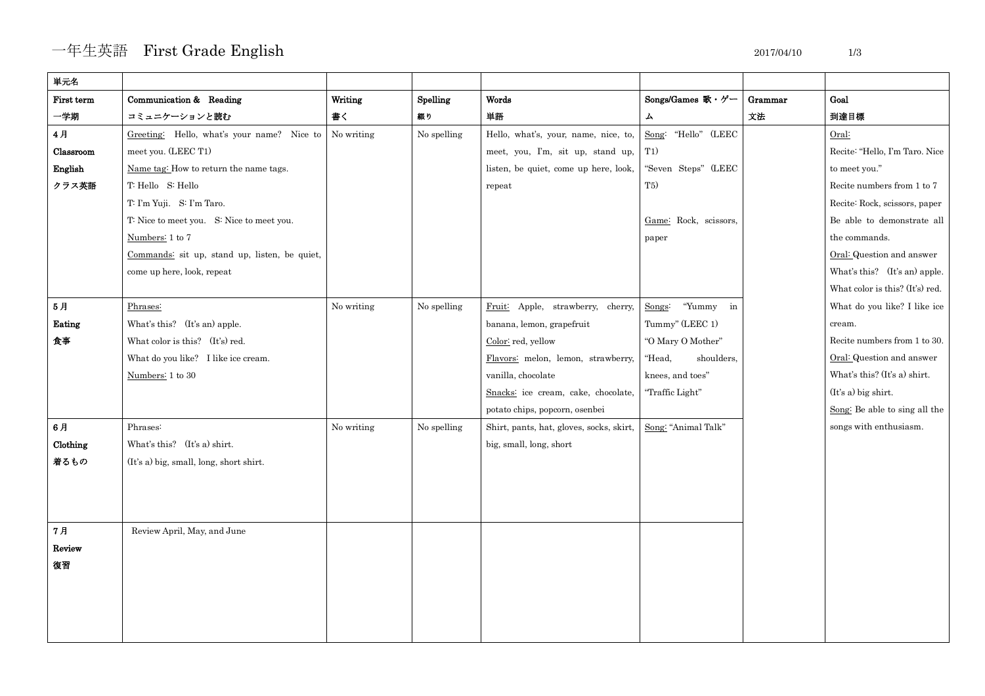## 一年生英語 First Grade English 2017/04/10 1/3

| 単元名        |                                               |            |             |                                          |                        |         |                                 |
|------------|-----------------------------------------------|------------|-------------|------------------------------------------|------------------------|---------|---------------------------------|
| First term | Communication & Reading                       | Writing    | Spelling    | Words                                    | Songs/Games 歌・ゲー       | Grammar | Goal                            |
| 一学期        | コミュニケーションと読む                                  | 書く         | 綴り          | 単語                                       | 厶                      | 文法      | 到達目標                            |
| 4月         | Greeting: Hello, what's your name? Nice to    | No writing | No spelling | Hello, what's, your, name, nice, to,     | Song: "Hello" (LEEC    |         | Oral:                           |
| Classroom  | meet you. (LEEC T1)                           |            |             | meet, you, I'm, sit up, stand up,        | T1)                    |         | Recite: "Hello, I'm Taro. Nice  |
| English    | Name tag: How to return the name tags.        |            |             | listen, be quiet, come up here, look,    | "Seven Steps" (LEEC    |         | to meet you."                   |
| クラス英語      | T: Hello S: Hello                             |            |             | repeat                                   | T5)                    |         | Recite numbers from 1 to 7      |
|            | T: I'm Yuji. S: I'm Taro.                     |            |             |                                          |                        |         | Recite: Rock, scissors, paper   |
|            | T: Nice to meet you. S: Nice to meet you.     |            |             |                                          | Game: Rock, scissors,  |         | Be able to demonstrate all      |
|            | Numbers: 1 to 7                               |            |             |                                          | paper                  |         | the commands.                   |
|            | Commands: sit up, stand up, listen, be quiet, |            |             |                                          |                        |         | Oral: Question and answer       |
|            | come up here, look, repeat                    |            |             |                                          |                        |         | What's this? (It's an) apple.   |
|            |                                               |            |             |                                          |                        |         | What color is this? (It's) red. |
| 5月         | Phrases:                                      | No writing | No spelling | Fruit: Apple, strawberry, cherry,        | "Yummy<br>Songs:<br>in |         | What do you like? I like ice    |
| Eating     | What's this? (It's an) apple.                 |            |             | banana, lemon, grapefruit                | Tummy" (LEEC 1)        |         | cream.                          |
| 食事         | What color is this? (It's) red.               |            |             | Color: red, yellow                       | "O Mary O Mother"      |         | Recite numbers from 1 to 30.    |
|            | What do you like? I like ice cream.           |            |             | Flavors: melon, lemon, strawberry,       | "Head,<br>shoulders,   |         | Oral: Question and answer       |
|            | Numbers: 1 to 30                              |            |             | vanilla, chocolate                       | knees, and toes"       |         | What's this? (It's a) shirt.    |
|            |                                               |            |             | Snacks: ice cream, cake, chocolate,      | "Traffic Light"        |         | (It's a) big shirt.             |
|            |                                               |            |             | potato chips, popcorn, osenbei           |                        |         | Song: Be able to sing all the   |
| 6月         | Phrases:                                      | No writing | No spelling | Shirt, pants, hat, gloves, socks, skirt, | Song: "Animal Talk"    |         | songs with enthusiasm.          |
| Clothing   | What's this? (It's a) shirt.                  |            |             | big, small, long, short                  |                        |         |                                 |
| 着るもの       | (It's a) big, small, long, short shirt.       |            |             |                                          |                        |         |                                 |
|            |                                               |            |             |                                          |                        |         |                                 |
|            |                                               |            |             |                                          |                        |         |                                 |
|            |                                               |            |             |                                          |                        |         |                                 |
| 7月         | Review April, May, and June                   |            |             |                                          |                        |         |                                 |
| Review     |                                               |            |             |                                          |                        |         |                                 |
| 復習         |                                               |            |             |                                          |                        |         |                                 |
|            |                                               |            |             |                                          |                        |         |                                 |
|            |                                               |            |             |                                          |                        |         |                                 |
|            |                                               |            |             |                                          |                        |         |                                 |
|            |                                               |            |             |                                          |                        |         |                                 |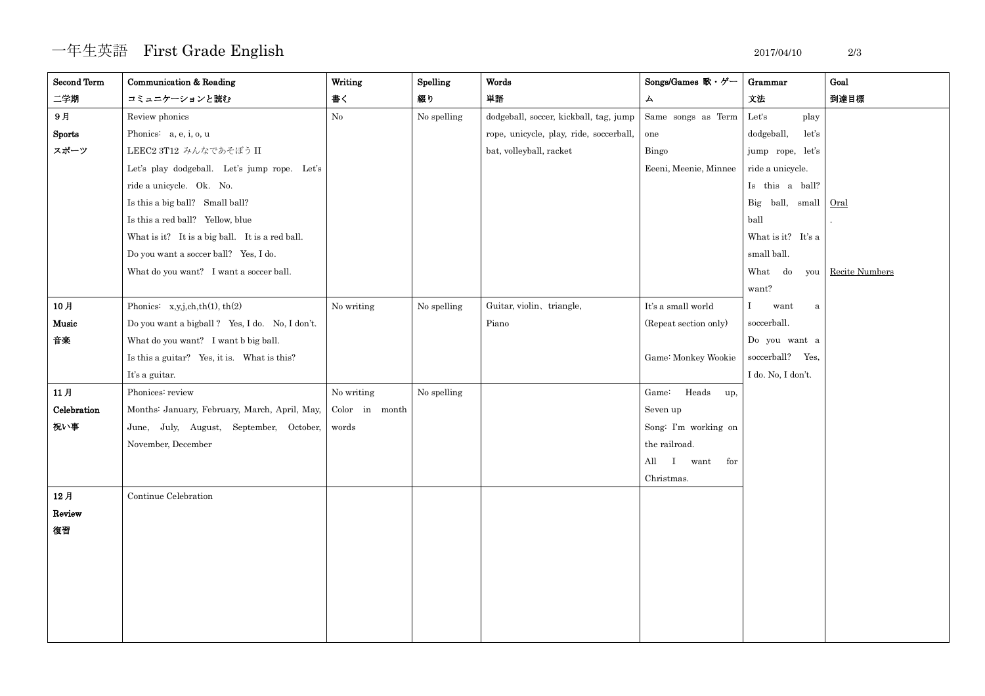## 一年生英語 First Grade English 2017/04/10 2/3

| <b>Second Term</b> | Communication & Reading                                      | Writing    | Spelling    | Words                                   | Songs/Games 歌・ゲー      | Grammar                    | Goal |
|--------------------|--------------------------------------------------------------|------------|-------------|-----------------------------------------|-----------------------|----------------------------|------|
| 二学期                | コミュニケーションと読む                                                 | 書く         | 綴り          | 単語                                      | $\blacktriangle$      | 文法                         | 到達目標 |
| 9月                 | Review phonics                                               | $\rm No$   | No spelling | dodgeball, soccer, kickball, tag, jump  | Same songs as Term    | Let's<br>play              |      |
| <b>Sports</b>      | Phonics: a, e, i, o, u                                       |            |             | rope, unicycle, play, ride, soccerball, | one                   | dodgeball,<br>let's        |      |
| スポーツ               | LEEC2 3T12 みんなであそぼう II                                       |            |             | bat, volleyball, racket                 | Bingo                 | jump rope, let's           |      |
|                    | Let's play dodgeball. Let's jump rope. Let's                 |            |             |                                         | Eeeni, Meenie, Minnee | ride a unicycle.           |      |
|                    | ride a unicycle. Ok. No.                                     |            |             |                                         |                       | Is this a ball?            |      |
|                    | Is this a big ball? Small ball?                              |            |             |                                         |                       | Big ball, small Oral       |      |
|                    | Is this a red ball? Yellow, blue                             |            |             |                                         |                       | ball                       |      |
|                    | What is it? It is a big ball. It is a red ball.              |            |             |                                         |                       | What is it? It's a         |      |
|                    | Do you want a soccer ball? Yes, I do.                        |            |             |                                         |                       | small ball.                |      |
|                    | What do you want? I want a soccer ball.                      |            |             |                                         |                       | What do you Recite Numbers |      |
|                    |                                                              |            |             |                                         |                       | want?                      |      |
| 10月                | Phonics: $x,y,j,ch,th(1),th(2)$                              | No writing | No spelling | Guitar, violin, triangle,               | It's a small world    | want<br>a                  |      |
| Music              | Do you want a bigball? Yes, I do. No, I don't.               |            |             | Piano                                   | (Repeat section only) | soccerball.                |      |
| 音楽                 | What do you want? I want b big ball.                         |            |             |                                         |                       | Do you want a              |      |
|                    | Is this a guitar? Yes, it is. What is this?                  |            |             |                                         | Game: Monkey Wookie   | soccerball? Yes,           |      |
|                    | It's a guitar.                                               |            |             |                                         |                       | I do. No, I don't.         |      |
| 11月                | Phonices: review                                             | No writing | No spelling |                                         | Heads up,<br>Game:    |                            |      |
| Celebration        | Months: January, February, March, April, May, Color in month |            |             |                                         | Seven up              |                            |      |
| 祝い事                | June, July, August, September, October, words                |            |             |                                         | Song: I'm working on  |                            |      |
|                    | November, December                                           |            |             |                                         | the railroad.         |                            |      |
|                    |                                                              |            |             |                                         | All<br>I want for     |                            |      |
|                    |                                                              |            |             |                                         | Christmas.            |                            |      |
| 12月                | Continue Celebration                                         |            |             |                                         |                       |                            |      |
| Review             |                                                              |            |             |                                         |                       |                            |      |
| 復習                 |                                                              |            |             |                                         |                       |                            |      |
|                    |                                                              |            |             |                                         |                       |                            |      |
|                    |                                                              |            |             |                                         |                       |                            |      |
|                    |                                                              |            |             |                                         |                       |                            |      |
|                    |                                                              |            |             |                                         |                       |                            |      |
|                    |                                                              |            |             |                                         |                       |                            |      |
|                    |                                                              |            |             |                                         |                       |                            |      |